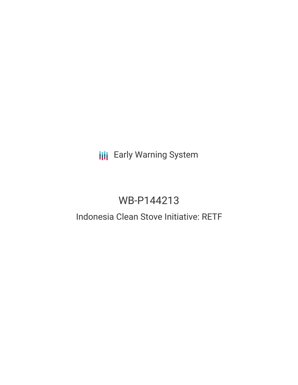# **III** Early Warning System

# WB-P144213

# Indonesia Clean Stove Initiative: RETF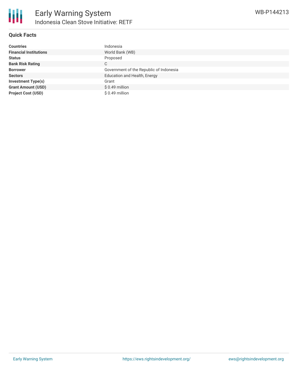

### **Quick Facts**

| <b>Countries</b>              | Indonesia                               |
|-------------------------------|-----------------------------------------|
| <b>Financial Institutions</b> | World Bank (WB)                         |
| <b>Status</b>                 | Proposed                                |
| <b>Bank Risk Rating</b>       | C                                       |
| <b>Borrower</b>               | Government of the Republic of Indonesia |
| <b>Sectors</b>                | Education and Health, Energy            |
| <b>Investment Type(s)</b>     | Grant                                   |
| <b>Grant Amount (USD)</b>     | \$0.49 million                          |
| <b>Project Cost (USD)</b>     | $$0.49$ million                         |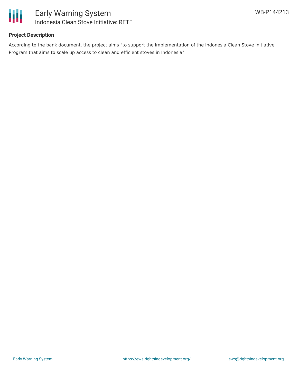

# **Project Description**

According to the bank document, the project aims "to support the implementation of the Indonesia Clean Stove Initiative Program that aims to scale up access to clean and efficient stoves in Indonesia".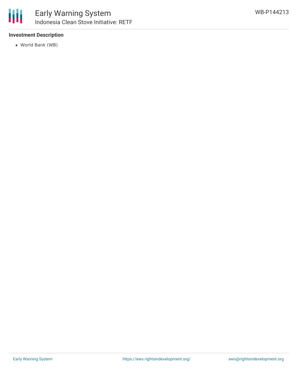# **Investment Description**

World Bank (WB)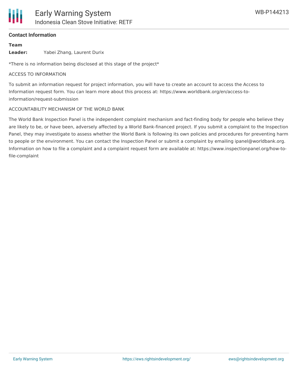

### **Contact Information**

#### **Team**

**Leader:** Yabei Zhang, Laurent Durix

\*There is no information being disclosed at this stage of the project\*

#### ACCESS TO INFORMATION

To submit an information request for project information, you will have to create an account to access the Access to Information request form. You can learn more about this process at: https://www.worldbank.org/en/access-toinformation/request-submission

#### ACCOUNTABILITY MECHANISM OF THE WORLD BANK

The World Bank Inspection Panel is the independent complaint mechanism and fact-finding body for people who believe they are likely to be, or have been, adversely affected by a World Bank-financed project. If you submit a complaint to the Inspection Panel, they may investigate to assess whether the World Bank is following its own policies and procedures for preventing harm to people or the environment. You can contact the Inspection Panel or submit a complaint by emailing ipanel@worldbank.org. Information on how to file a complaint and a complaint request form are available at: https://www.inspectionpanel.org/how-tofile-complaint